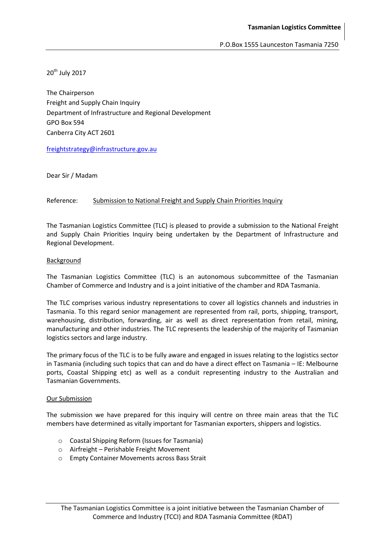20<sup>th</sup> July 2017

The Chairperson Freight and Supply Chain Inquiry Department of Infrastructure and Regional Development GPO Box 594 Canberra City ACT 2601

[freightstrategy@infrastructure.gov.au](mailto:freightstrategy@infrastructure.gov.au)

Dear Sir / Madam

### Reference: Submission to National Freight and Supply Chain Priorities Inquiry

The Tasmanian Logistics Committee (TLC) is pleased to provide a submission to the National Freight and Supply Chain Priorities Inquiry being undertaken by the Department of Infrastructure and Regional Development.

### Background

The Tasmanian Logistics Committee (TLC) is an autonomous subcommittee of the Tasmanian Chamber of Commerce and Industry and is a joint initiative of the chamber and RDA Tasmania.

The TLC comprises various industry representations to cover all logistics channels and industries in Tasmania. To this regard senior management are represented from rail, ports, shipping, transport, warehousing, distribution, forwarding, air as well as direct representation from retail, mining, manufacturing and other industries. The TLC represents the leadership of the majority of Tasmanian logistics sectors and large industry.

The primary focus of the TLC is to be fully aware and engaged in issues relating to the logistics sector in Tasmania (including such topics that can and do have a direct effect on Tasmania – IE: Melbourne ports, Coastal Shipping etc) as well as a conduit representing industry to the Australian and Tasmanian Governments.

### Our Submission

The submission we have prepared for this inquiry will centre on three main areas that the TLC members have determined as vitally important for Tasmanian exporters, shippers and logistics.

- o Coastal Shipping Reform (Issues for Tasmania)
- o Airfreight Perishable Freight Movement
- o Empty Container Movements across Bass Strait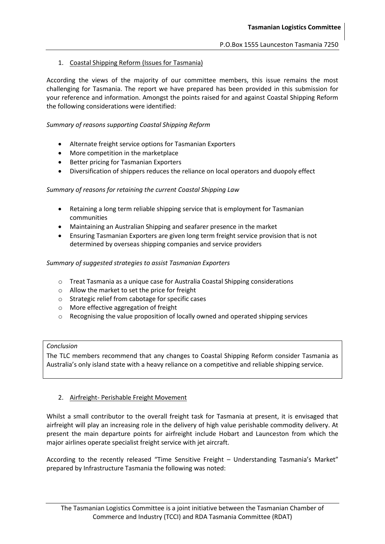# 1. Coastal Shipping Reform (Issues for Tasmania)

According the views of the majority of our committee members, this issue remains the most challenging for Tasmania. The report we have prepared has been provided in this submission for your reference and information. Amongst the points raised for and against Coastal Shipping Reform the following considerations were identified:

### *Summary of reasons supporting Coastal Shipping Reform*

- Alternate freight service options for Tasmanian Exporters
- More competition in the marketplace
- Better pricing for Tasmanian Exporters
- Diversification of shippers reduces the reliance on local operators and duopoly effect

### *Summary of reasons for retaining the current Coastal Shipping Law*

- Retaining a long term reliable shipping service that is employment for Tasmanian communities
- Maintaining an Australian Shipping and seafarer presence in the market
- Ensuring Tasmanian Exporters are given long term freight service provision that is not determined by overseas shipping companies and service providers

### *Summary of suggested strategies to assist Tasmanian Exporters*

- o Treat Tasmania as a unique case for Australia Coastal Shipping considerations
- o Allow the market to set the price for freight
- o Strategic relief from cabotage for specific cases
- o More effective aggregation of freight
- $\circ$  Recognising the value proposition of locally owned and operated shipping services

### *Conclusion*

The TLC members recommend that any changes to Coastal Shipping Reform consider Tasmania as Australia's only island state with a heavy reliance on a competitive and reliable shipping service.

### 2. Airfreight- Perishable Freight Movement

Whilst a small contributor to the overall freight task for Tasmania at present, it is envisaged that airfreight will play an increasing role in the delivery of high value perishable commodity delivery. At present the main departure points for airfreight include Hobart and Launceston from which the major airlines operate specialist freight service with jet aircraft.

According to the recently released "Time Sensitive Freight – Understanding Tasmania's Market" prepared by Infrastructure Tasmania the following was noted: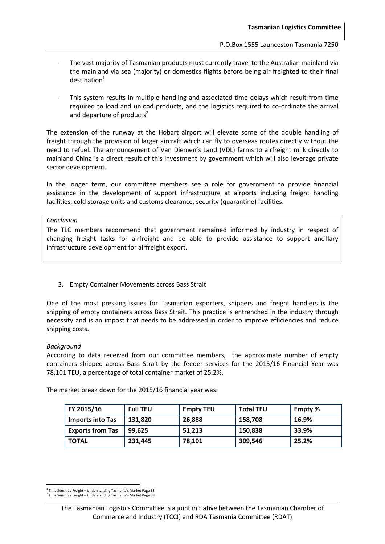- The vast majority of Tasmanian products must currently travel to the Australian mainland via the mainland via sea (majority) or domestics flights before being air freighted to their final  $d$ estination $1$
- This system results in multiple handling and associated time delays which result from time required to load and unload products, and the logistics required to co-ordinate the arrival and departure of products<sup>2</sup>

The extension of the runway at the Hobart airport will elevate some of the double handling of freight through the provision of larger aircraft which can fly to overseas routes directly without the need to refuel. The announcement of Van Diemen's Land (VDL) farms to airfreight milk directly to mainland China is a direct result of this investment by government which will also leverage private sector development.

In the longer term, our committee members see a role for government to provide financial assistance in the development of support infrastructure at airports including freight handling facilities, cold storage units and customs clearance, security (quarantine) facilities.

*Conclusion*

The TLC members recommend that government remained informed by industry in respect of changing freight tasks for airfreight and be able to provide assistance to support ancillary infrastructure development for airfreight export.

# 3. Empty Container Movements across Bass Strait

One of the most pressing issues for Tasmanian exporters, shippers and freight handlers is the shipping of empty containers across Bass Strait. This practice is entrenched in the industry through necessity and is an impost that needs to be addressed in order to improve efficiencies and reduce shipping costs.

### *Background*

1

According to data received from our committee members, the approximate number of empty containers shipped across Bass Strait by the feeder services for the 2015/16 Financial Year was 78,101 TEU, a percentage of total container market of 25.2%.

The market break down for the 2015/16 financial year was:

| FY 2015/16              | <b>Full TEU</b> | <b>Empty TEU</b> | <b>Total TEU</b> | <b>Empty</b> % |
|-------------------------|-----------------|------------------|------------------|----------------|
| <b>Imports into Tas</b> | 131,820         | 26,888           | 158,708          | 16.9%          |
| <b>Exports from Tas</b> | 99.625          | 51,213           | 150,838          | 33.9%          |
| <b>TOTAL</b>            | 231,445         | 78,101           | 309,546          | 25.2%          |

<sup>&</sup>lt;sup>1</sup> Time Sensitive Freight - Understanding Tasmania's Market Page 38

<sup>2</sup> Time Sensitive Freight – Understanding Tasmania's Market Page 39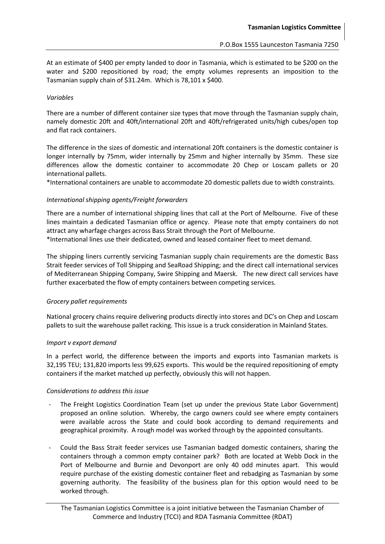At an estimate of \$400 per empty landed to door in Tasmania, which is estimated to be \$200 on the water and \$200 repositioned by road; the empty volumes represents an imposition to the Tasmanian supply chain of \$31.24m. Which is 78,101 x \$400.

## *Variables*

There are a number of different container size types that move through the Tasmanian supply chain, namely domestic 20ft and 40ft/international 20ft and 40ft/refrigerated units/high cubes/open top and flat rack containers.

The difference in the sizes of domestic and international 20ft containers is the domestic container is longer internally by 75mm, wider internally by 25mm and higher internally by 35mm. These size differences allow the domestic container to accommodate 20 Chep or Loscam pallets or 20 international pallets.

\*International containers are unable to accommodate 20 domestic pallets due to width constraints.

# *International shipping agents/Freight forwarders*

There are a number of international shipping lines that call at the Port of Melbourne. Five of these lines maintain a dedicated Tasmanian office or agency. Please note that empty containers do not attract any wharfage charges across Bass Strait through the Port of Melbourne. \*International lines use their dedicated, owned and leased container fleet to meet demand.

The shipping liners currently servicing Tasmanian supply chain requirements are the domestic Bass

Strait feeder services of Toll Shipping and SeaRoad Shipping; and the direct call international services of Mediterranean Shipping Company, Swire Shipping and Maersk. The new direct call services have further exacerbated the flow of empty containers between competing services.

# *Grocery pallet requirements*

National grocery chains require delivering products directly into stores and DC's on Chep and Loscam pallets to suit the warehouse pallet racking. This issue is a truck consideration in Mainland States.

### *Import v export demand*

In a perfect world, the difference between the imports and exports into Tasmanian markets is 32,195 TEU; 131,820 imports less 99,625 exports. This would be the required repositioning of empty containers if the market matched up perfectly, obviously this will not happen.

### *Considerations to address this issue*

- The Freight Logistics Coordination Team (set up under the previous State Labor Government) proposed an online solution. Whereby, the cargo owners could see where empty containers were available across the State and could book according to demand requirements and geographical proximity. A rough model was worked through by the appointed consultants.
- Could the Bass Strait feeder services use Tasmanian badged domestic containers, sharing the containers through a common empty container park? Both are located at Webb Dock in the Port of Melbourne and Burnie and Devonport are only 40 odd minutes apart. This would require purchase of the existing domestic container fleet and rebadging as Tasmanian by some governing authority. The feasibility of the business plan for this option would need to be worked through.